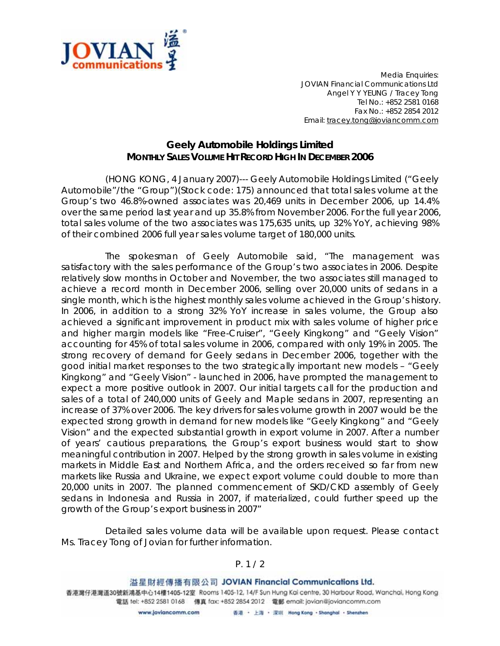

*Media Enquiries: JOVIAN Financial Communications Ltd Angel Y Y YEUNG / Tracey Tong Tel No.: +852 2581 0168 Fax No.: +852 2854 2012 Email: tracey.tong@joviancomm.com*

## **Geely Automobile Holdings Limited MONTHLY SALES VOLUME HIT RECORD HIGH IN DECEMBER 2006**

(HONG KONG, 4 January 2007)--- Geely Automobile Holdings Limited ("Geely Automobile"/the "Group")(Stock code: 175) announced that total sales volume at the Group's two 46.8%-owned associates was 20,469 units in December 2006, up 14.4% over the same period last year and up 35.8% from November 2006. For the full year 2006, total sales volume of the two associates was 175,635 units, up 32% YoY, achieving 98% of their combined 2006 full year sales volume target of 180,000 units.

The spokesman of Geely Automobile said, "The management was satisfactory with the sales performance of the Group's two associates in 2006. Despite relatively slow months in October and November, the two associates still managed to achieve a record month in December 2006, selling over 20,000 units of sedans in a single month, which is the highest monthly sales volume achieved in the Group's history. In 2006, in addition to a strong 32% YoY increase in sales volume, the Group also achieved a significant improvement in product mix with sales volume of higher price and higher margin models like "Free-Cruiser", "Geely Kingkong" and "Geely Vision" accounting for 45% of total sales volume in 2006, compared with only 19% in 2005. The strong recovery of demand for Geely sedans in December 2006, together with the good initial market responses to the two strategically important new models – "Geely Kingkong" and "Geely Vision" - launched in 2006, have prompted the management to expect a more positive outlook in 2007. Our initial targets call for the production and sales of a total of 240,000 units of Geely and Maple sedans in 2007, representing an increase of 37% over 2006. The key drivers for sales volume growth in 2007 would be the expected strong growth in demand for new models like "Geely Kingkong" and "Geely Vision" and the expected substantial growth in export volume in 2007. After a number of years' cautious preparations, the Group's export business would start to show meaningful contribution in 2007. Helped by the strong growth in sales volume in existing markets in Middle East and Northern Africa, and the orders received so far from new markets like Russia and Ukraine, we expect export volume could double to more than 20,000 units in 2007. The planned commencement of SKD/CKD assembly of Geely sedans in Indonesia and Russia in 2007, if materialized, could further speed up the growth of the Group's export business in 2007"

Detailed sales volume data will be available upon request. Please contact Ms. Tracey Tong of Jovian for further information.

## *P. 1 / 2*